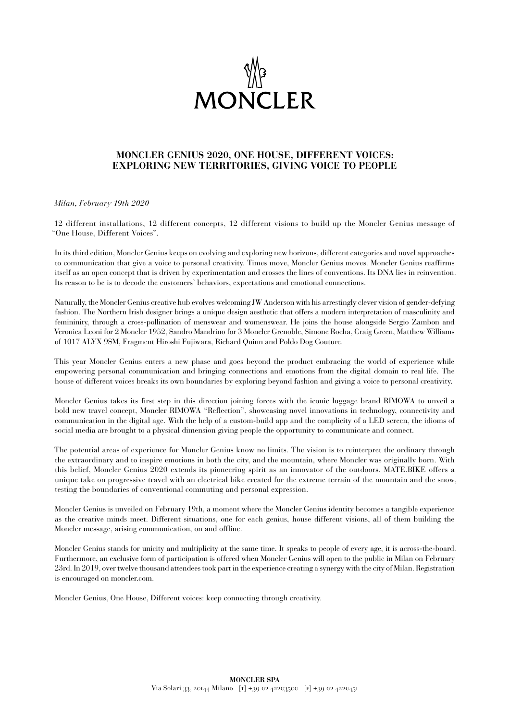

# **MONCLER GENIUS 2020, ONE HOUSE, DIFFERENT VOICES: EXPLORING NEW TERRITORIES, GIVING VOICE TO PEOPLE**

*Milan, February 19th 2020* 

12 different installations, 12 different concepts, 12 different visions to build up the Moncler Genius message of "One House, Different Voices".

In its third edition, Moncler Genius keeps on evolving and exploring new horizons, different categories and novel approaches to communication that give a voice to personal creativity. Times move, Moncler Genius moves. Moncler Genius reaffirms itself as an open concept that is driven by experimentation and crosses the lines of conventions. Its DNA lies in reinvention. Its reason to be is to decode the customers' behaviors, expectations and emotional connections.

Naturally, the Moncler Genius creative hub evolves welcoming JW Anderson with his arrestingly clever vision of gender-defying fashion. The Northern Irish designer brings a unique design aesthetic that offers a modern interpretation of masculinity and femininity, through a cross-pollination of menswear and womenswear. He joins the house alongside Sergio Zambon and Veronica Leoni for 2 Moncler 1952, Sandro Mandrino for 3 Moncler Grenoble, Simone Rocha, Craig Green, Matthew Williams of 1017 ALYX 9SM, Fragment Hiroshi Fujiwara, Richard Quinn and Poldo Dog Couture.

This year Moncler Genius enters a new phase and goes beyond the product embracing the world of experience while empowering personal communication and bringing connections and emotions from the digital domain to real life. The house of different voices breaks its own boundaries by exploring beyond fashion and giving a voice to personal creativity.

Moncler Genius takes its first step in this direction joining forces with the iconic luggage brand RIMOWA to unveil a bold new travel concept, Moncler RIMOWA "Reflection", showcasing novel innovations in technology, connectivity and communication in the digital age. With the help of a custom-build app and the complicity of a LED screen, the idioms of social media are brought to a physical dimension giving people the opportunity to communicate and connect.

The potential areas of experience for Moncler Genius know no limits. The vision is to reinterpret the ordinary through the extraordinary and to inspire emotions in both the city, and the mountain, where Moncler was originally born. With this belief, Moncler Genius 2020 extends its pioneering spirit as an innovator of the outdoors. MATE.BIKE offers a unique take on progressive travel with an electrical bike created for the extreme terrain of the mountain and the snow, testing the boundaries of conventional commuting and personal expression.

Moncler Genius is unveiled on February 19th, a moment where the Moncler Genius identity becomes a tangible experience as the creative minds meet. Different situations, one for each genius, house different visions, all of them building the Moncler message, arising communication, on and offline.

Moncler Genius stands for unicity and multiplicity at the same time. It speaks to people of every age, it is across-the-board. Furthermore, an exclusive form of participation is offered when Moncler Genius will open to the public in Milan on February 23rd. In 2019, over twelve thousand attendees took part in the experience creating a synergy with the city of Milan. Registration is encouraged on moncler.com.

Moncler Genius, One House, Different voices: keep connecting through creativity.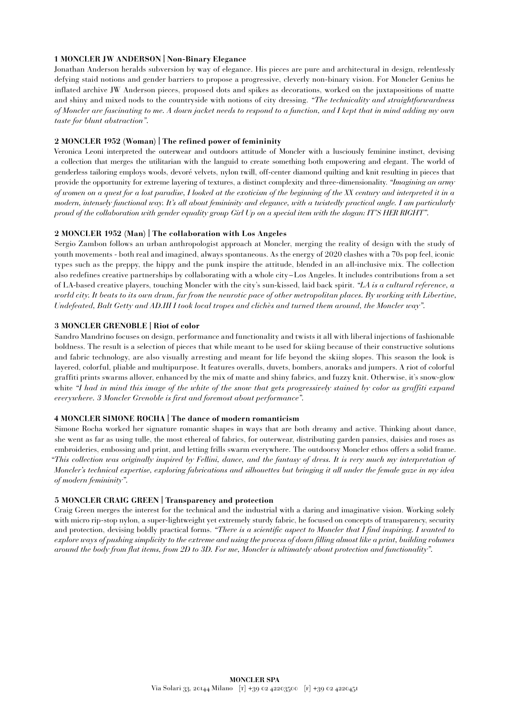# **1 MONCLER JW ANDERSON | Non-Binary Elegance**

Jonathan Anderson heralds subversion by way of elegance. His pieces are pure and architectural in design, relentlessly defying staid notions and gender barriers to propose a progressive, cleverly non-binary vision. For Moncler Genius he inflated archive JW Anderson pieces, proposed dots and spikes as decorations, worked on the juxtapositions of matte and shiny and mixed nods to the countryside with notions of city dressing. *"The technicality and straightforwardness of Moncler are fascinating to me. A down jacket needs to respond to a function, and I kept that in mind adding my own taste for blunt abstraction".*

#### **2 MONCLER 1952 (Woman) | The refined power of femininity**

Veronica Leoni interpreted the outerwear and outdoors attitude of Moncler with a lusciously feminine instinct, devising a collection that merges the utilitarian with the languid to create something both empowering and elegant. The world of genderless tailoring employs wools, devoré velvets, nylon twill, off-center diamond quilting and knit resulting in pieces that provide the opportunity for extreme layering of textures, a distinct complexity and three-dimensionality. *"Imagining an army of women on a quest for a lost paradise, I looked at the exoticism of the beginning of the XX century and interpreted it in a modern, intensely functional way. It's all about femininity and elegance, with a twistedly practical angle. I am particularly proud of the collaboration with gender equality group Girl Up on a special item with the slogan: IT'S HER RIGHT".*

### **2 MONCLER 1952 (Man) | The collaboration with Los Angeles**

Sergio Zambon follows an urban anthropologist approach at Moncler, merging the reality of design with the study of youth movements - both real and imagined, always spontaneous. As the energy of 2020 clashes with a 70s pop feel, iconic types such as the preppy, the hippy and the punk inspire the attitude, blended in an all-inclusive mix. The collection also redefines creative partnerships by collaborating with a whole city–Los Angeles. It includes contributions from a set of LA-based creative players, touching Moncler with the city's sun-kissed, laid back spirit. *"LA is a cultural reference, a world city. It beats to its own drum, far from the neurotic pace of other metropolitan places. By working with Libertine, Undefeated, Balt Getty and AD.III I took local tropes and clichès and turned them around, the Moncler way".*

#### **3 MONCLER GRENOBLE | Riot of color**

Sandro Mandrino focuses on design, performance and functionality and twists it all with liberal injections of fashionable boldness. The result is a selection of pieces that while meant to be used for skiing because of their constructive solutions and fabric technology, are also visually arresting and meant for life beyond the skiing slopes. This season the look is layered, colorful, pliable and multipurpose. It features overalls, duvets, bombers, anoraks and jumpers. A riot of colorful graffiti prints swarms allover, enhanced by the mix of matte and shiny fabrics, and fuzzy knit. Otherwise, it's snow-glow white *"I had in mind this image of the white of the snow that gets progressively stained by color as graffiti expand everywhere. 3 Moncler Grenoble is first and foremost about performance".*

#### **4 MONCLER SIMONE ROCHA | The dance of modern romanticism**

Simone Rocha worked her signature romantic shapes in ways that are both dreamy and active. Thinking about dance, she went as far as using tulle, the most ethereal of fabrics, for outerwear, distributing garden pansies, daisies and roses as embroideries, embossing and print, and letting frills swarm everywhere. The outdoorsy Moncler ethos offers a solid frame. *"This collection was originally inspired by Fellini, dance, and the fantasy of dress. It is very much my interpretation of Moncler's technical expertise, exploring fabrications and silhouettes but bringing it all under the female gaze in my idea of modern femininity".*

### **5 MONCLER CRAIG GREEN | Transparency and protection**

Craig Green merges the interest for the technical and the industrial with a daring and imaginative vision. Working solely with micro rip-stop nylon, a super-lightweight yet extremely sturdy fabric, he focused on concepts of transparency, security and protection, devising boldly practical forms. *"There is a scientific aspect to Moncler that I find inspiring. I wanted to explore ways of pushing simplicity to the extreme and using the process of down filling almost like a print, building volumes around the body from flat items, from 2D to 3D. For me, Moncler is ultimately about protection and functionality".*